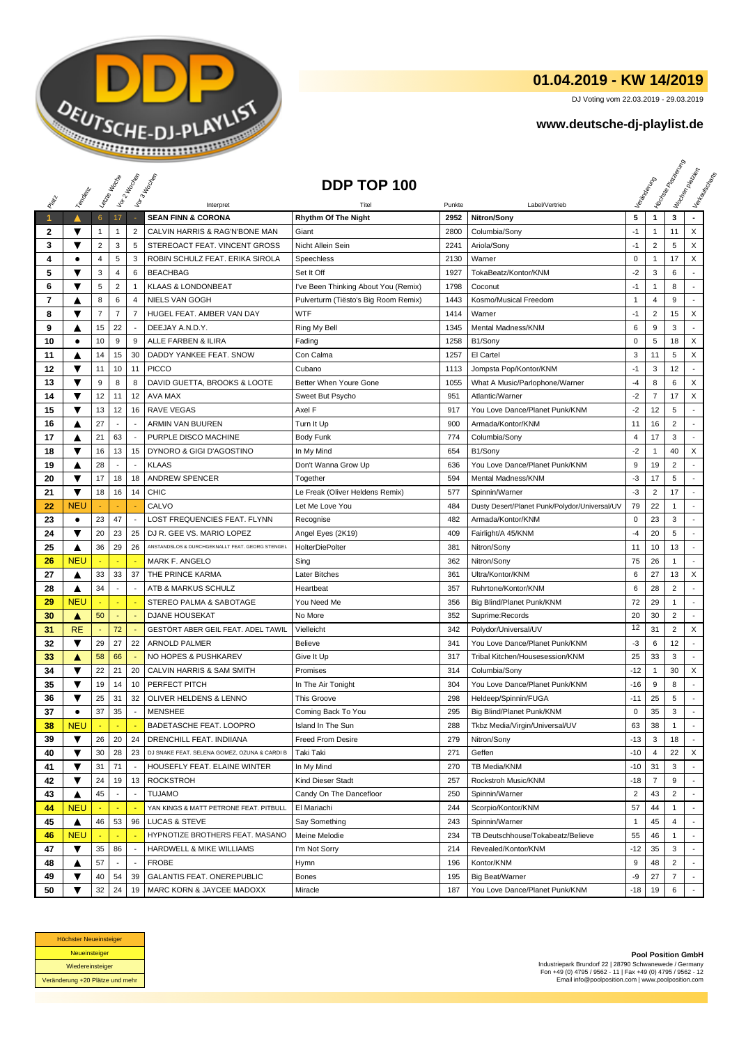

## **01.04.2019 - KW 14/2019**

DJ Voting vom 22.03.2019 - 29.03.2019

## **www.deutsche-dj-playlist.de**

|              |            | Leizie Hacop    |                          | Voir 2 Moone             | Vor 3 Incolas                                   | DDP TOP 100                          |        |                                               |                |                | <b>Licitorial Riversidens</b> | I Voolennesser<br>Verksunser<br>Maurecia |
|--------------|------------|-----------------|--------------------------|--------------------------|-------------------------------------------------|--------------------------------------|--------|-----------------------------------------------|----------------|----------------|-------------------------------|------------------------------------------|
|              | Templative |                 |                          |                          |                                                 |                                      |        |                                               |                |                |                               |                                          |
| RIVER        |            |                 |                          |                          | Interpret                                       |                                      | Punkte | Label/Vertrieb                                |                |                |                               |                                          |
| $\mathbf{1}$ | ▲          | $6\phantom{.}6$ | 17                       |                          | <b>SEAN FINN &amp; CORONA</b>                   | <b>Rhythm Of The Night</b>           | 2952   | Nitron/Sony                                   | 5              | $\mathbf{1}$   | 3                             |                                          |
| 2            | ▼          | 1               | 1                        | 2                        | CALVIN HARRIS & RAG'N'BONE MAN                  | Giant                                | 2800   | Columbia/Sony                                 | $-1$           | 1              | 11                            | X                                        |
| 3            | ▼          | 2               | 3                        | 5                        | STEREOACT FEAT. VINCENT GROSS                   | Nicht Allein Sein                    | 2241   | Ariola/Sony                                   | $-1$           | $\overline{c}$ | 5                             | X                                        |
| 4            | ٠          | 4               | 5                        | 3                        | ROBIN SCHULZ FEAT. ERIKA SIROLA                 | Speechless                           | 2130   | Warner                                        | $\pmb{0}$      | $\mathbf{1}$   | 17                            | X                                        |
| 5            | ▼          | 3               | $\overline{4}$           | 6                        | <b>BEACHBAG</b>                                 | Set It Off                           | 1927   | TokaBeatz/Kontor/KNM                          | $-2$           | 3              | 6                             |                                          |
| 6            | ▼          | 5               | $\overline{2}$           | $\mathbf{1}$             | <b>KLAAS &amp; LONDONBEAT</b>                   | I've Been Thinking About You (Remix) | 1798   | Coconut                                       | $-1$           | 1              | 8                             |                                          |
| 7            | ▲          | 8               | 6                        | $\overline{4}$           | <b>NIELS VAN GOGH</b>                           | Pulverturm (Tiësto's Big Room Remix) | 1443   | Kosmo/Musical Freedom                         | $\mathbf{1}$   | 4              | 9                             | ÷                                        |
| 8            | ▼          | $\overline{7}$  | $\overline{7}$           | $\overline{7}$           | HUGEL FEAT. AMBER VAN DAY                       | WTF                                  | 1414   | Warner                                        | $-1$           | $\overline{2}$ | 15                            | X                                        |
| 9            | ▲          | 15              | 22                       |                          | DEEJAY A.N.D.Y.                                 | Ring My Bell                         | 1345   | Mental Madness/KNM                            | 6              | 9              | 3                             |                                          |
| 10           | $\bullet$  | 10              | 9                        | 9                        | ALLE FARBEN & ILIRA                             | Fading                               | 1258   | B1/Sony                                       | 0              | 5              | 18                            | X                                        |
| 11           | ▲          | 14              | 15                       | 30                       | DADDY YANKEE FEAT. SNOW                         | Con Calma                            | 1257   | El Cartel                                     | 3              | 11             | 5                             | X                                        |
| 12           | ▼          | 11              | 10                       | 11                       | <b>PICCO</b>                                    | Cubano                               | 1113   | Jompsta Pop/Kontor/KNM                        | $-1$           | 3              | 12                            | ÷.                                       |
| 13           | ▼          | 9               | 8                        | 8                        | DAVID GUETTA, BROOKS & LOOTE                    | Better When Youre Gone               | 1055   | What A Music/Parlophone/Warner                | -4             | 8              | 6                             | X                                        |
| 14           | ▼          | 12              | 11                       | 12                       | AVA MAX                                         | Sweet But Psycho                     | 951    | Atlantic/Warner                               | $-2$           | $\overline{7}$ | 17                            | X                                        |
| 15           | ▼          | 13              | 12                       | 16                       | <b>RAVE VEGAS</b>                               | Axel F                               | 917    | You Love Dance/Planet Punk/KNM                | $-2$           | 12             | 5                             | ÷.                                       |
| 16           | ▲          | 27              |                          | $\overline{\phantom{a}}$ | <b>ARMIN VAN BUUREN</b>                         | Turn It Up                           | 900    | Armada/Kontor/KNM                             | 11             | 16             | 2                             |                                          |
| 17           | ▲          | 21              | 63                       | $\overline{\phantom{a}}$ | PURPLE DISCO MACHINE                            | <b>Body Funk</b>                     | 774    | Columbia/Sony                                 | $\overline{4}$ | 17             | 3                             |                                          |
| 18           | ▼          | 16              | 13                       | 15                       | DYNORO & GIGI D'AGOSTINO                        | In My Mind                           | 654    | B1/Sony                                       | $-2$           | 1              | 40                            | X                                        |
| 19           | ▲          | 28              |                          | $\overline{\phantom{a}}$ | <b>KLAAS</b>                                    | Don't Wanna Grow Up                  | 636    | You Love Dance/Planet Punk/KNM                | 9              | 19             | $\overline{2}$                |                                          |
| 20           | ▼          | 17              | 18                       | 18                       | <b>ANDREW SPENCER</b>                           | Together                             | 594    | Mental Madness/KNM                            | $-3$           | 17             | 5                             | ÷                                        |
| 21           | ▼          | 18              | 16                       | 14                       | <b>CHIC</b>                                     | Le Freak (Oliver Heldens Remix)      | 577    | Spinnin/Warner                                | $-3$           | $\overline{2}$ | 17                            | ٠                                        |
| 22           | <b>NEU</b> |                 |                          |                          | CALVO                                           | Let Me Love You                      | 484    | Dusty Desert/Planet Punk/Polydor/Universal/UV | 79             | 22             | 1                             |                                          |
| 23           | $\bullet$  | 23              | 47                       | $\overline{\phantom{a}}$ | LOST FREQUENCIES FEAT. FLYNN                    | Recognise                            | 482    | Armada/Kontor/KNM                             | $\mathbf 0$    | 23             | 3                             |                                          |
| 24           | ▼          | 20              | 23                       | 25                       | DJ R. GEE VS. MARIO LOPEZ                       | Angel Eyes (2K19)                    | 409    | Fairlight/A 45/KNM                            | $-4$           | 20             | 5                             |                                          |
| 25           | ▲          | 36              | 29                       | 26                       | ANSTANDSLOS & DURCHGEKNALLT FEAT. GEORG STENGEL | <b>HolterDiePolter</b>               | 381    | Nitron/Sony                                   | 11             | 10             | 13                            |                                          |
| 26           | NEU        |                 |                          |                          | <b>MARK F. ANGELO</b>                           | Sing                                 | 362    | Nitron/Sony                                   | 75             | 26             | $\mathbf{1}$                  |                                          |
| 27           | ▲          | 33              | 33                       | 37                       | THE PRINCE KARMA                                | Later Bitches                        | 361    | Ultra/Kontor/KNM                              | 6              | 27             | 13                            | X                                        |
| 28           | ▲          | 34              |                          |                          | ATB & MARKUS SCHULZ                             | Heartbeat                            | 357    | Ruhrtone/Kontor/KNM                           | 6              | 28             | $\overline{c}$                |                                          |
| 29           | NEU        |                 |                          |                          | STEREO PALMA & SABOTAGE                         | You Need Me                          | 356    | Big Blind/Planet Punk/KNM                     | 72             | 29             | $\mathbf{1}$                  |                                          |
| 30           | A          | 50              | $\blacksquare$           | $\overline{\phantom{a}}$ | <b>DJANE HOUSEKAT</b>                           | No More                              | 352    | Suprime:Records                               | 20             | 30             | $\overline{2}$                | $\overline{a}$                           |
| 31           | <b>RE</b>  |                 | 72                       |                          | GESTÖRT ABER GEIL FEAT. ADEL TAWIL              | Vielleicht                           | 342    | Polydor/Universal/UV                          | 12             | 31             | $\overline{2}$                | X                                        |
| 32           | ▼          | 29              | 27                       | 22                       | <b>ARNOLD PALMER</b>                            | <b>Believe</b>                       | 341    | You Love Dance/Planet Punk/KNM                | $-3$           | 6              | 12                            |                                          |
| 33           | A          | 58              | 66                       |                          | NO HOPES & PUSHKAREV                            | Give It Up                           | 317    | Tribal Kitchen/Housesession/KNM               | 25             | 33             | 3                             |                                          |
| 34           | ▼          | 22              | 21                       | 20                       | CALVIN HARRIS & SAM SMITH                       | Promises                             | 314    | Columbia/Sony                                 | $-12$          | 1              | 30                            | X                                        |
| 35           | ▼          | 19              | 14                       | 10                       | PERFECT PITCH                                   | In The Air Tonight                   | 304    | You Love Dance/Planet Punk/KNM                | $-16$          | 9              | 8                             |                                          |
| 36           | ▼          | 25              | 31                       | 32                       | OLIVER HELDENS & LENNO                          | <b>This Groove</b>                   | 298    | Heldeep/Spinnin/FUGA                          | $-11$          | 25             | 5                             |                                          |
| 37           | $\bullet$  | 37              | 35                       | $\overline{\phantom{a}}$ | MENSHEE                                         | Coming Back To You                   | 295    | Big Blind/Planet Punk/KNM                     | $\pmb{0}$      | 35             | 3                             | $\sim$                                   |
| 38           | <b>NEU</b> |                 |                          |                          | BADETASCHE FEAT. LOOPRO                         | Island In The Sun                    | 288    | Tkbz Media/Virgin/Universal/UV                | 63             | 38             | 1                             |                                          |
| 39           | ▼          | 26              | 20                       | 24                       | DRENCHILL FEAT. INDIIANA                        | Freed From Desire                    | 279    | Nitron/Sony                                   | $-13$          | 3              | 18                            |                                          |
| 40           | ▼          | 30              | 28                       | 23                       | DJ SNAKE FEAT. SELENA GOMEZ, OZUNA & CARDI B    | Taki Taki                            | 271    | Geffen                                        | $-10$          | 4              | 22                            | X                                        |
| 41           | ▼          | 31              | 71                       |                          | HOUSEFLY FEAT. ELAINE WINTER                    | In My Mind                           | 270    | TB Media/KNM                                  | $-10$          | 31             | 3                             |                                          |
| 42           | ▼          | 24              | 19                       | 13                       | <b>ROCKSTROH</b>                                | Kind Dieser Stadt                    | 257    | Rockstroh Music/KNM                           | $-18$          | $\overline{7}$ | 9                             |                                          |
| 43           | ▲          | 45              | $\overline{\phantom{a}}$ | $\overline{\phantom{a}}$ | <b>TUJAMO</b>                                   | Candy On The Dancefloor              | 250    | Spinnin/Warner                                | $\overline{2}$ | 43             | 2                             |                                          |
| 44           | <b>NEU</b> |                 |                          |                          | YAN KINGS & MATT PETRONE FEAT. PITBULL          | El Mariachi                          | 244    | Scorpio/Kontor/KNM                            | 57             | 44             | $\mathbf{1}$                  |                                          |
| 45           | ▲          | 46              | 53                       | 96                       | LUCAS & STEVE                                   | Say Something                        | 243    | Spinnin/Warner                                | $\overline{1}$ | 45             | 4                             |                                          |
| 46           | <b>NEU</b> |                 |                          |                          | HYPNOTIZE BROTHERS FEAT. MASANO                 | Meine Melodie                        | 234    | TB Deutschhouse/Tokabeatz/Believe             | 55             | 46             | $\mathbf{1}$                  | $\blacksquare$                           |
| 47           | ▼          | 35              | 86                       | $\overline{\phantom{a}}$ | HARDWELL & MIKE WILLIAMS                        | I'm Not Sorry                        | 214    | Revealed/Kontor/KNM                           | $-12$          | 35             | 3                             |                                          |
| 48           | ▲          | 57              |                          | $\overline{\phantom{a}}$ | <b>FROBE</b>                                    | Hymn                                 | 196    | Kontor/KNM                                    | 9              | 48             | 2                             |                                          |
| 49           | ▼          | 40              | 54                       | 39                       | GALANTIS FEAT. ONEREPUBLIC                      | Bones                                | 195    | Big Beat/Warner                               | -9             | 27             | $\overline{7}$                |                                          |
| 50           | ▼          | 32              | 24                       | 19                       | MARC KORN & JAYCEE MADOXX                       | Miracle                              | 187    | You Love Dance/Planet Punk/KNM                | -18            | 19             | 6                             |                                          |



**Pool Position GmbH** Industriepark Brundorf 22 | 28790 Schwanewede / Germany Fon +49 (0) 4795 / 9562 - 11 | Fax +49 (0) 4795 / 9562 - 12 Email info@poolposition.com | www.poolposition.com